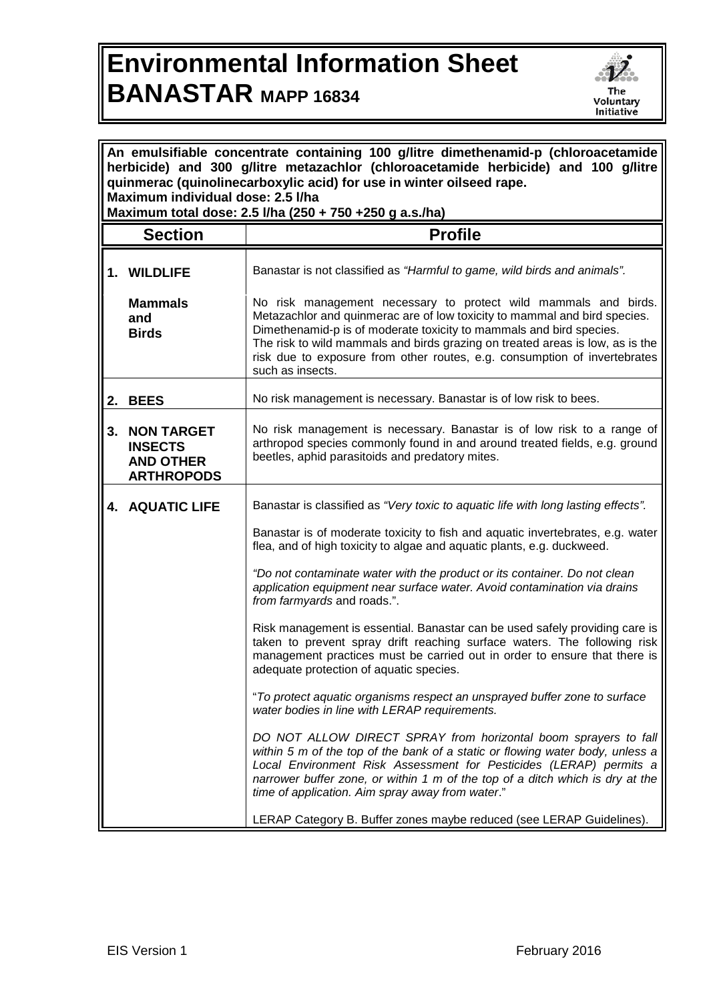## **Environmental Information Sheet BANASTAR MAPP 16834**



| An emulsifiable concentrate containing 100 g/litre dimethenamid-p (chloroacetamide<br>herbicide) and 300 g/litre metazachlor (chloroacetamide herbicide) and 100 g/litre<br>quinmerac (quinolinecarboxylic acid) for use in winter oilseed rape.<br>Maximum individual dose: 2.5 I/ha<br>Maximum total dose: 2.5 l/ha (250 + 750 +250 g a.s./ha) |                                                                              |                                                                                                                                                                                                                                                                                                                                                             |  |
|--------------------------------------------------------------------------------------------------------------------------------------------------------------------------------------------------------------------------------------------------------------------------------------------------------------------------------------------------|------------------------------------------------------------------------------|-------------------------------------------------------------------------------------------------------------------------------------------------------------------------------------------------------------------------------------------------------------------------------------------------------------------------------------------------------------|--|
|                                                                                                                                                                                                                                                                                                                                                  | <b>Section</b>                                                               | <b>Profile</b>                                                                                                                                                                                                                                                                                                                                              |  |
|                                                                                                                                                                                                                                                                                                                                                  | 1. WILDLIFE<br><b>Mammals</b><br>and<br><b>Birds</b>                         | Banastar is not classified as "Harmful to game, wild birds and animals".<br>No risk management necessary to protect wild mammals and birds.<br>Metazachlor and quinmerac are of low toxicity to mammal and bird species.<br>Dimethenamid-p is of moderate toxicity to mammals and bird species.                                                             |  |
|                                                                                                                                                                                                                                                                                                                                                  |                                                                              | The risk to wild mammals and birds grazing on treated areas is low, as is the<br>risk due to exposure from other routes, e.g. consumption of invertebrates<br>such as insects.                                                                                                                                                                              |  |
| 2.                                                                                                                                                                                                                                                                                                                                               | <b>BEES</b>                                                                  | No risk management is necessary. Banastar is of low risk to bees.                                                                                                                                                                                                                                                                                           |  |
| 3.                                                                                                                                                                                                                                                                                                                                               | <b>NON TARGET</b><br><b>INSECTS</b><br><b>AND OTHER</b><br><b>ARTHROPODS</b> | No risk management is necessary. Banastar is of low risk to a range of<br>arthropod species commonly found in and around treated fields, e.g. ground<br>beetles, aphid parasitoids and predatory mites.                                                                                                                                                     |  |
|                                                                                                                                                                                                                                                                                                                                                  | <b>4. AQUATIC LIFE</b>                                                       | Banastar is classified as "Very toxic to aquatic life with long lasting effects".                                                                                                                                                                                                                                                                           |  |
|                                                                                                                                                                                                                                                                                                                                                  |                                                                              | Banastar is of moderate toxicity to fish and aquatic invertebrates, e.g. water<br>flea, and of high toxicity to algae and aquatic plants, e.g. duckweed.                                                                                                                                                                                                    |  |
|                                                                                                                                                                                                                                                                                                                                                  |                                                                              | "Do not contaminate water with the product or its container. Do not clean<br>application equipment near surface water. Avoid contamination via drains<br>from farmyards and roads.".                                                                                                                                                                        |  |
|                                                                                                                                                                                                                                                                                                                                                  |                                                                              | Risk management is essential. Banastar can be used safely providing care is<br>taken to prevent spray drift reaching surface waters. The following risk<br>management practices must be carried out in order to ensure that there is<br>adequate protection of aquatic species.                                                                             |  |
|                                                                                                                                                                                                                                                                                                                                                  |                                                                              | "To protect aquatic organisms respect an unsprayed buffer zone to surface<br>water bodies in line with LERAP requirements.                                                                                                                                                                                                                                  |  |
|                                                                                                                                                                                                                                                                                                                                                  |                                                                              | DO NOT ALLOW DIRECT SPRAY from horizontal boom sprayers to fall<br>within 5 m of the top of the bank of a static or flowing water body, unless a<br>Local Environment Risk Assessment for Pesticides (LERAP) permits a<br>narrower buffer zone, or within 1 m of the top of a ditch which is dry at the<br>time of application. Aim spray away from water." |  |
|                                                                                                                                                                                                                                                                                                                                                  |                                                                              | LERAP Category B. Buffer zones maybe reduced (see LERAP Guidelines)                                                                                                                                                                                                                                                                                         |  |